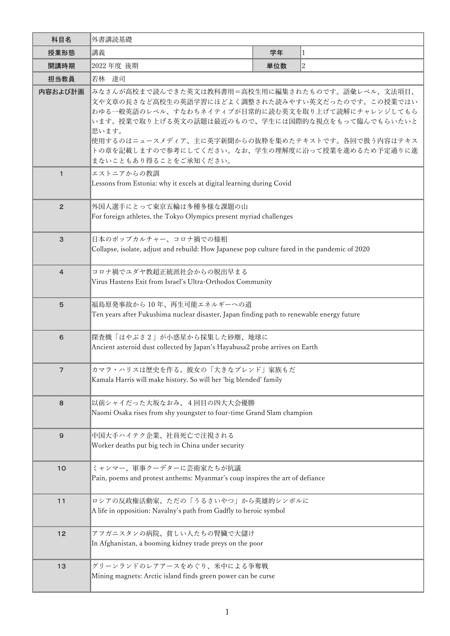| 科目名             | 外書講読基礎                                                                                                                                                                                                                                                                                                                                                   |     |              |  |  |  |  |
|-----------------|----------------------------------------------------------------------------------------------------------------------------------------------------------------------------------------------------------------------------------------------------------------------------------------------------------------------------------------------------------|-----|--------------|--|--|--|--|
| 授業形態            | 講義                                                                                                                                                                                                                                                                                                                                                       | 学年  | $\mathbf{1}$ |  |  |  |  |
| 開講時期            | 2022 年度 後期                                                                                                                                                                                                                                                                                                                                               | 単位数 | $ 2\rangle$  |  |  |  |  |
| 担当教員            | 若林 達司                                                                                                                                                                                                                                                                                                                                                    |     |              |  |  |  |  |
| 内容および計画         | みなさんが高校まで読んできた英文は教科書用=高校生用に編集されたものです。語彙レベル、文法項目、<br> 文や文章の長さなど高校生の英語学習にほどよく調整された読みやすい英文だったのです。この授業ではい<br>わゆる一般英語のレベル、すなわちネイティブが日常的に読む英文を取り上げて読解にチャレンジしてもら<br>います。授業で取り上げる英文の話題は最近のもので、学生には国際的な視点をもって臨んでもらいたいと<br>思います。<br> 使用するのはニュースメディア、主に英字新聞からの抜粋を集めたテキストです。各回で扱う内容はテキス<br>トの章を記載しますので参考にしてください。なお、学生の理解度に沿って授業を進めるため予定通りに進<br>まないこともあり得ることをご承知ください。 |     |              |  |  |  |  |
| $\mathbf{1}$    | エストニアからの教訓<br>Lessons from Estonia: why it excels at digital learning during Covid                                                                                                                                                                                                                                                                       |     |              |  |  |  |  |
| $\overline{2}$  | 外国人選手にとって東京五輪は多種多様な課題の山<br>For foreign athletes, the Tokyo Olympics present myriad challenges                                                                                                                                                                                                                                                            |     |              |  |  |  |  |
| 3               | 日本のポップカルチャー、コロナ禍での様相<br>Collapse, isolate, adjust and rebuild: How Japanese pop culture fared in the pandemic of 2020                                                                                                                                                                                                                                    |     |              |  |  |  |  |
| $\overline{4}$  | コロナ禍でユダヤ教超正統派社会からの脱出早まる<br>Virus Hastens Exit from Israel's Ultra-Orthodox Community                                                                                                                                                                                                                                                                     |     |              |  |  |  |  |
| $5\phantom{.0}$ | 福島原発事故から10年、再生可能エネルギーへの道<br>Ten years after Fukushima nuclear disaster, Japan finding path to renewable energy future                                                                                                                                                                                                                                    |     |              |  |  |  |  |
| 6               | 探査機「はやぶさ2」が小惑星から採集した砂塵、地球に<br>Ancient asteroid dust collected by Japan's Hayabusa2 probe arrives on Earth                                                                                                                                                                                                                                                |     |              |  |  |  |  |
| $\overline{7}$  | カマラ・ハリスは歴史を作る。彼女の「大きなブレンド」家族もだ<br>Kamala Harris will make history. So will her 'big blended' family                                                                                                                                                                                                                                                      |     |              |  |  |  |  |
| $\bf8$          | 以前シャイだった大坂なおみ、4回目の四大大会優勝<br>Naomi Osaka rises from shy youngster to four-time Grand Slam champion                                                                                                                                                                                                                                                        |     |              |  |  |  |  |
| $\mathsf 9$     | 中国大手ハイテク企業、社員死亡で注視される<br>Worker deaths put big tech in China under security                                                                                                                                                                                                                                                                              |     |              |  |  |  |  |
| 10              | ミャンマー、軍事クーデターに芸術家たちが抗議<br>Pain, poems and protest anthems: Myanmar's coup inspires the art of defiance                                                                                                                                                                                                                                                   |     |              |  |  |  |  |
| 11              | ロシアの反政権活動家、ただの「うるさいやつ」から英雄的シンボルに<br>A life in opposition: Navalny's path from Gadfly to heroic symbol                                                                                                                                                                                                                                                    |     |              |  |  |  |  |
| $12$            | アフガニスタンの病院、貧しい人たちの腎臓で大儲け<br>In Afghanistan, a booming kidney trade preys on the poor                                                                                                                                                                                                                                                                     |     |              |  |  |  |  |
| 13              | グリーンランドのレアアースをめぐり、米中による争奪戦<br>Mining magnets: Arctic island finds green power can be curse                                                                                                                                                                                                                                                               |     |              |  |  |  |  |